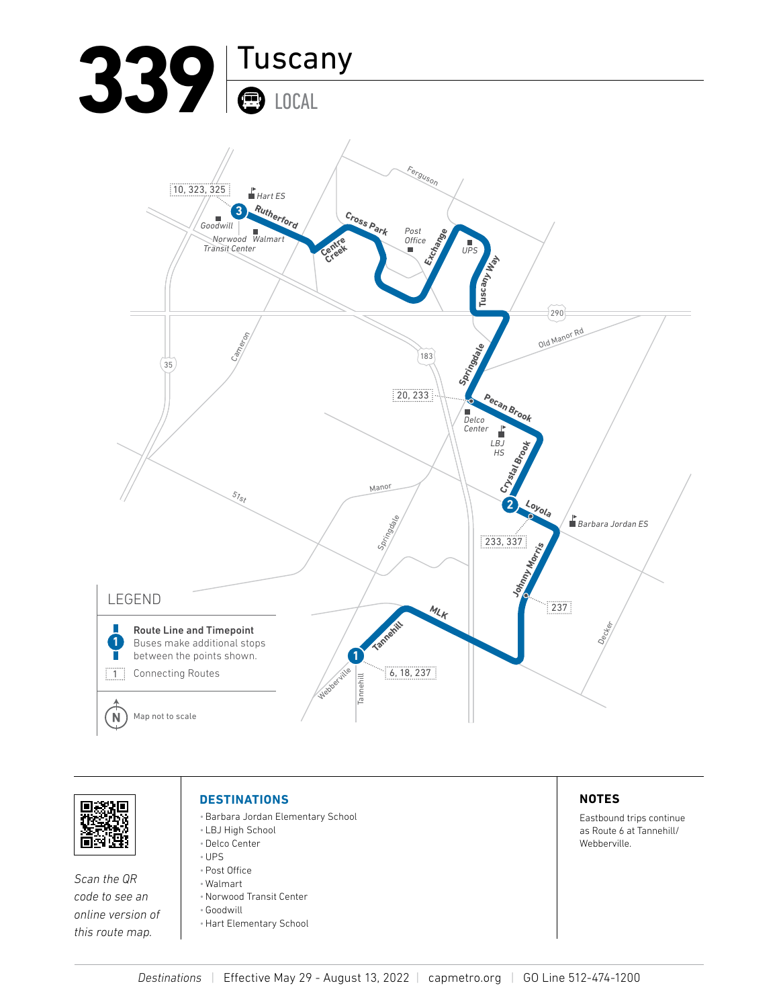



*Scan the QR* 

*this route map.*

## **DESTINATIONS**

- •Barbara Jordan Elementary School
- LBJ High School •Delco Center
- •UPS
- •Post Office
- Walmart
- *code to see an online version of*
- •Norwood Transit Center
- •Goodwill
	- •Hart Elementary School

## **NOTES**

Eastbound trips continue as Route 6 at Tannehill/ Webberville.